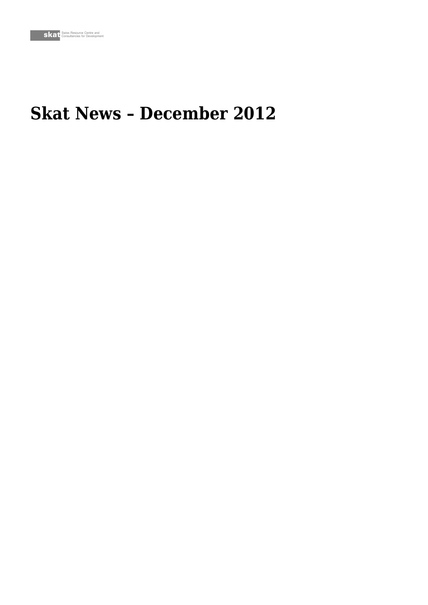## **Skat News – December 2012**